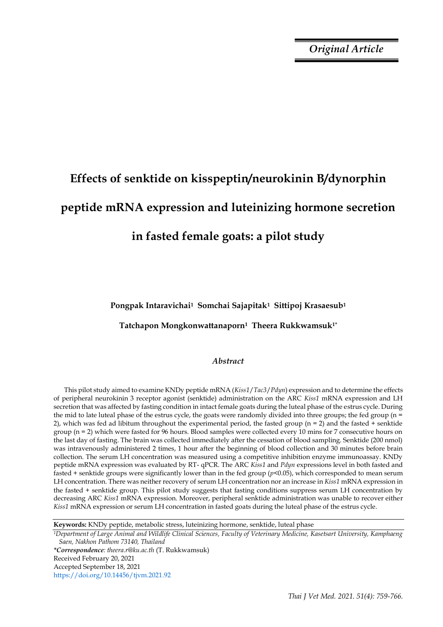*Original Article*

# **Effects of senktide on kisspeptin/neurokinin B/dynorphin peptide mRNA expression and luteinizing hormone secretion**

# **in fasted female goats: a pilot study**

**Pongpak Intaravichai1 Somchai Sajapitak1 Sittipoj Krasaesub<sup>1</sup>** 

**Tatchapon Mongkonwattanaporn1 Theera Rukkwamsuk1\***

# *Abstract*

This pilot study aimed to examine KNDy peptide mRNA (*Kiss1*/*Tac3*/*Pdyn*) expression and to determine the effects of peripheral neurokinin 3 receptor agonist (senktide) administration on the ARC *Kiss1* mRNA expression and LH secretion that was affected by fasting condition in intact female goats during the luteal phase of the estrus cycle. During the mid to late luteal phase of the estrus cycle, the goats were randomly divided into three groups; the fed group (n = 2), which was fed ad libitum throughout the experimental period, the fasted group  $(n = 2)$  and the fasted + senktide group (n = 2) which were fasted for 96 hours. Blood samples were collected every 10 mins for 7 consecutive hours on the last day of fasting. The brain was collected immediately after the cessation of blood sampling. Senktide (200 nmol) was intravenously administered 2 times, 1 hour after the beginning of blood collection and 30 minutes before brain collection. The serum LH concentration was measured using a competitive inhibition enzyme immunoassay. KNDy peptide mRNA expression was evaluated by RT- qPCR. The ARC *Kiss1* and *Pdyn* expressions level in both fasted and fasted + senktide groups were significantly lower than in the fed group (*p*<0.05), which corresponded to mean serum LH concentration. There was neither recovery of serum LH concentration nor an increase in *Kiss1* mRNA expression in the fasted + senktide group. This pilot study suggests that fasting conditions suppress serum LH concentration by decreasing ARC *Kiss1* mRNA expression. Moreover, peripheral senktide administration was unable to recover either *Kiss1* mRNA expression or serum LH concentration in fasted goats during the luteal phase of the estrus cycle.

**Keywords:** KNDy peptide, metabolic stress, luteinizing hormone, senktide, luteal phase

*<sup>1</sup>Department of Large Animal and Wildlife Clinical Sciences, Faculty of Veterinary Medicine, Kasetsart University, Kamphaeng Saen, Nakhon Pathom 73140, Thailand*

*\*Correspondence: theera.r@ku.ac.th* (T. Rukkwamsuk) Received February 20, 2021 Accepted September 18, 2021

https://doi.org/10.14456/tjvm.2021.92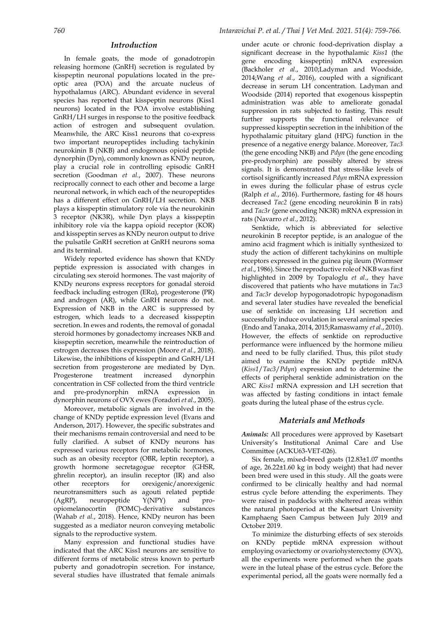# *Introduction*

In female goats, the mode of gonadotropin releasing hormone (GnRH) secretion is regulated by kisspeptin neuronal populations located in the preoptic area (POA) and the arcuate nucleus of hypothalamus (ARC). Abundant evidence in several species has reported that kisspeptin neurons (Kiss1 neurons) located in the POA involve establishing GnRH/LH surges in response to the positive feedback action of estrogen and subsequent ovulation. Meanwhile, the ARC Kiss1 neurons that co-express two important neuropeptides including tachykinin neurokinin B (NKB) and endogenous opioid peptide dynorphin (Dyn), commonly known as KNDy neuron, play a crucial role in controlling episodic GnRH secretion (Goodman *et al.*, 2007). These neurons reciprocally connect to each other and become a large neuronal network, in which each of the neuropeptides has a different effect on GnRH/LH secretion. NKB plays a kisspeptin stimulatory role via the neurokinin 3 receptor (NK3R), while Dyn plays a kisspeptin inhibitory role via the kappa opioid receptor (KOR) and kisspeptin serves as KNDy neuron output to drive the pulsatile GnRH secretion at GnRH neurons soma and its terminal.

Widely reported evidence has shown that KNDy peptide expression is associated with changes in circulating sex steroid hormones. The vast majority of KNDy neurons express receptors for gonadal steroid feedback including estrogen (ERα), progesterone (PR) and androgen (AR), while GnRH neurons do not. Expression of NKB in the ARC is suppressed by estrogen, which leads to a decreased kisspeptin secretion. In ewes and rodents, the removal of gonadal steroid hormones by gonadectomy increases NKB and kisspeptin secretion, meanwhile the reintroduction of estrogen decreases this expression (Moore *et al.*, 2018). Likewise, the inhibitions of kisspeptin and GnRH/LH secretion from progesterone are mediated by Dyn. Progesterone treatment increased dynorphin concentration in CSF collected from the third ventricle and pre-prodynorphin mRNA expression in dynorphin neurons of OVX ewes (Foradori *et al*., 2005).

Moreover, metabolic signals are involved in the change of KNDy peptide expression level (Evans and Anderson, 2017). However, the specific substrates and their mechanisms remain controversial and need to be fully clarified. A subset of KNDy neurons has expressed various receptors for metabolic hormones, such as an obesity receptor (OBR, leptin receptor), a growth hormone secretagogue receptor (GHSR, ghrelin receptor), an insulin receptor (IR) and also other receptors for orexigenic/anorexigenic neurotransmitters such as agouti related peptide (AgRP), neuropeptide Y(NPY) and proopiomelanocortin (POMC)-derivative substances (Wahab *et al.*, 2018). Hence, KNDy neuron has been suggested as a mediator neuron conveying metabolic signals to the reproductive system.

Many expression and functional studies have indicated that the ARC Kiss1 neurons are sensitive to different forms of metabolic stress known to perturb puberty and gonadotropin secretion. For instance, several studies have illustrated that female animals

under acute or chronic food-deprivation display a significant decrease in the hypothalamic *Kiss1* (the gene encoding kisspeptin) mRNA expression (Backholer *et al.*, 2010;Ladyman and Woodside, 2014;Wang *et al.*, 2016), coupled with a significant decrease in serum LH concentration. Ladyman and Woodside (2014) reported that exogenous kisspeptin administration was able to ameliorate gonadal suppression in rats subjected to fasting. This result further supports the functional relevance of suppressed kisspeptin secretion in the inhibition of the hypothalamic pituitary gland (HPG) function in the presence of a negative energy balance. Moreover, *Tac3* (the gene encoding NKB) and *Pdyn* (the gene encoding pre-prodynorphin) are possibly altered by stress signals. It is demonstrated that stress-like levels of cortisol significantly increased *Pdyn* mRNA expression in ewes during the follicular phase of estrus cycle (Ralph *et al.*, 2016). Furthermore, fasting for 48 hours decreased *Tac2* (gene encoding neurokinin B in rats) and *Tac3r* (gene encoding NK3R) mRNA expression in rats (Navarro *et al.*, 2012).

Senktide, which is abbreviated for selective neurokinin B receptor peptide, is an analogue of the amino acid fragment which is initially synthesized to study the action of different tachykinins on multiple receptors expressed in the guinea pig ileum (Wormser *et al*., 1986). Since the reproductive roleof NKB was first highlighted in 2009 by Topaloglu *et al*., they have discovered that patients who have mutations in *Tac3* and *Tac3r* develop hypogonadotropic hypogonadism and several later studies have revealed the beneficial use of senktide on increasing LH secretion and successfully induce ovulation in several animal species (Endo and Tanaka, 2014, 2015;Ramaswamy *et al.*, 2010). However, the effects of senktide on reproductive performance were influenced by the hormone milieu and need to be fully clarified. Thus, this pilot study aimed to examine the KNDy peptide mRNA (*Kiss1*/*Tac3*/*Pdyn*) expression and to determine the effects of peripheral senktide administration on the ARC *Kiss1* mRNA expression and LH secretion that was affected by fasting conditions in intact female goats during the luteal phase of the estrus cycle.

## *Materials and Methods*

*Animals:* All procedures were approved by Kasetsart University's Institutional Animal Care and Use Committee (ACKU63-VET-026).

Six female, mixed-breed goats (12.83±1.07 months of age, 26.22±1.60 kg in body weight) that had never been bred were used in this study. All the goats were confirmed to be clinically healthy and had normal estrus cycle before attending the experiments. They were raised in paddocks with sheltered areas within the natural photoperiod at the Kasetsart University Kamphaeng Saen Campus between July 2019 and October 2019.

To minimize the disturbing effects of sex steroids on KNDy peptide mRNA expression without employing ovariectomy or ovariohysterectomy (OVX), all the experiments were performed when the goats were in the luteal phase of the estrus cycle. Before the experimental period, all the goats were normally fed a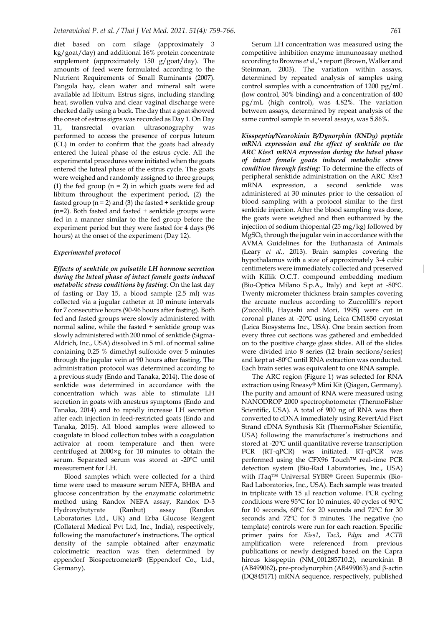diet based on corn silage (approximately 3 kg/goat/day) and additional 16% protein concentrate supplement (approximately 150 g/goat/day). The amounts of feed were formulated according to the Nutrient Requirements of Small Ruminants (2007). Pangola hay, clean water and mineral salt were available ad libitum. Estrus signs, including standing heat, swollen vulva and clear vaginal discharge were checked daily using a buck. The day that a goat showed the onset of estrus signs was recorded as Day 1. On Day 11, transrectal ovarian ultrasonography was performed to access the presence of corpus luteum (CL) in order to confirm that the goats had already entered the luteal phase of the estrus cycle. All the experimental procedures were initiated when the goats entered the luteal phase of the estrus cycle. The goats were weighed and randomly assigned to three groups; (1) the fed group  $(n = 2)$  in which goats were fed ad libitum throughout the experiment period, (2) the fasted group  $(n = 2)$  and (3) the fasted  $+$  senktide group (n=2). Both fasted and fasted + senktide groups were fed in a manner similar to the fed group before the experiment period but they were fasted for 4 days (96 hours) at the onset of the experiment (Day 12).

#### *Experimental protocol*

*Effects of senktide on pulsatile LH hormone secretion during the luteal phase of intact female goats induced metabolic stress conditions by fasting:* On the last day of fasting or Day 15, a blood sample (2.5 ml) was collected via a jugular catheter at 10 minute intervals for 7 consecutive hours (90-96 hours after fasting). Both fed and fasted groups were slowly administered with normal saline, while the fasted + senktide group was slowly administered with 200 nmol of senktide (Sigma-Aldrich, Inc., USA) dissolved in 5 mL of normal saline containing 0.25 % dimethyl sulfoxide over 5 minutes through the jugular vein at 90 hours after fasting. The administration protocol was determined according to a previous study (Endo and Tanaka, 2014). The dose of senktide was determined in accordance with the concentration which was able to stimulate LH secretion in goats with anestrus symptoms (Endo and Tanaka, 2014) and to rapidly increase LH secretion after each injection in feed-restricted goats (Endo and Tanaka, 2015). All blood samples were allowed to coagulate in blood collection tubes with a coagulation activator at room temperature and then were centrifuged at 2000×g for 10 minutes to obtain the serum. Separated serum was stored at -20ºC until measurement for LH.

Blood samples which were collected for a third time were used to measure serum NEFA, BHBA and glucose concentration by the enzymatic colorimetric method using Randox NEFA assay, Randox D-3 Hydroxybutyrate (Ranbut) assay (Randox Laboratories Ltd., UK) and Erba Glucose Reagent (Collateral Medical Pvt Ltd, Inc., India), respectively, following the manufacturer's instructions. The optical density of the sample obtained after enzymatic colorimetric reaction was then determined by eppendorf Biospectrometer® (Eppendorf Co., Ltd., Germany).

Serum LH concentration was measured using the competitive inhibition enzyme immunoassay method according to Browns *et al*.,'s report (Brown, Walker and Steinman, 2003). The variation within assays, determined by repeated analysis of samples using control samples with a concentration of 1200 pg/mL (low control, 30% binding) and a concentration of 400 pg/mL (high control), was 4.82%. The variation between assays, determined by repeat analysis of the same control sample in several assays, was 5.86%.

*Kisspeptin/Neurokinin B/Dynorphin (KNDy) peptide mRNA expression and the effect of senktide on the ARC Kiss1 mRNA expression during the luteal phase of intact female goats induced metabolic stress condition through fasting:* To determine the effects of peripheral senktide administration on the ARC *Kiss1* mRNA expression, a second senktide was administered at 30 minutes prior to the cessation of blood sampling with a protocol similar to the first senktide injection. After the blood sampling was done, the goats were weighed and then euthanized by the injection of sodium thiopental (25 mg/kg) followed by MgSO<sup>4</sup> through the jugular vein in accordance with the AVMA Guidelines for the Euthanasia of Animals (Leary *et al.*, 2013). Brain samples covering the hypothalamus with a size of approximately 3-4 cubic centimeters were immediately collected and preserved with Killik O.C.T. compound embedding medium (Bio-Optica Milano S.p.A., Italy) and kept at -80℃. Twenty micrometer thickness brain samples covering the arcuate nucleus according to Zuccolilli's report (Zuccolilli, Hayashi and Mori, 1995) were cut in coronal planes at -20℃ using Leica CM1850 cryostat (Leica Biosystems Inc., USA). One brain section from every three cut sections was gathered and embedded on to the positive charge glass slides. All of the slides were divided into 8 series (12 brain sections/series) and kept at -80ºC until RNA extraction was conducted. Each brain series was equivalent to one RNA sample.

The ARC region (Figure 1) was selected for RNA extraction using Rneasy® Mini Kit (Qiagen, Germany). The purity and amount of RNA were measured using NANODROP 2000 spectrophotometer (ThermoFisher Scientific, USA). A total of 900 ng of RNA was then converted to cDNA immediately using RevertAid Fisrt Strand cDNA Synthesis Kit (ThermoFisher Scientific, USA) following the manufacturer's instructions and stored at -20ºC until quantitative reverse transcription PCR (RT-qPCR) was initiated. RT-qPCR was performed using the CFX96 Touch™ real-time PCR detection system (Bio-Rad Laboratories, Inc., USA) with iTaq™ Universal SYBR® Green Supermix (Bio-Rad Laboratories, Inc., USA). Each sample was treated in triplicate with 15 µl reaction volume. PCR cycling conditions were 95ºC for 10 minutes, 40 cycles of 90ºC for 10 seconds, 60ºC for 20 seconds and 72ºC for 30 seconds and 72ºC for 5 minutes. The negative (no template) controls were run for each reaction. Specific primer pairs for *Kiss1*, *Tac3*, *Pdyn* and *ACTB*  amplification were referenced from previous publications or newly designed based on the Capra hircus kisspeptin (NM\_001285710.2), neurokinin B (AB499062), pre-prodynorphin (AB499063) and β-actin (DQ845171) mRNA sequence, respectively, published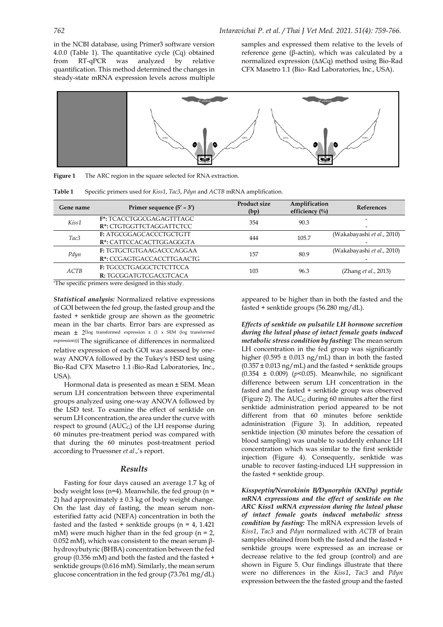in the NCBI database, using Primer3 software version 4.0.0 (Table 1). The quantitative cycle (Cq) obtained from RT-qPCR was analyzed by relative quantification. This method determined the changes in steady-state mRNA expression levels across multiple samples and expressed them relative to the levels of reference gene (β-actin), which was calculated by a normalized expression (∆∆Cq) method using Bio-Rad CFX Masetro 1.1 (Bio- Rad Laboratories, Inc., USA).



| Figure 1 | The ARC region in the square selected for RNA extraction. |
|----------|-----------------------------------------------------------|
|----------|-----------------------------------------------------------|

| Table 1 |  |  |  | Specific primers used for <i>Kiss1</i> , <i>Tac3</i> , <i>Pdyn</i> and <i>ACTB</i> mRNA amplification. |
|---------|--|--|--|--------------------------------------------------------------------------------------------------------|
|---------|--|--|--|--------------------------------------------------------------------------------------------------------|

| Gene name                         | Primer sequence $(5' – 3')$                                                                                                                                          | <b>Product size</b><br>(bp) | Amplification<br>efficiency $\left(\frac{0}{0}\right)$ | References                 |
|-----------------------------------|----------------------------------------------------------------------------------------------------------------------------------------------------------------------|-----------------------------|--------------------------------------------------------|----------------------------|
| Kiss1                             | <b>F*: TCACCTGGCGAGAGTTTAGC</b><br>R <sup>*</sup> : CTGTGGTTCTAGGATTCTCC                                                                                             | 354                         | 90.3                                                   | -                          |
| Tac <sub>3</sub>                  | F: ATGCGGAGCACCCTGCTGTT<br>R*: CATTCCACACTTGGAGGGTA                                                                                                                  | 444                         | 105.7                                                  | (Wakabayashi et al., 2010) |
| Pdyn                              | F: TGTGCTGTGAAGACCCAGGAA<br>R*: CCGAGTGACCACCTTGAACTG                                                                                                                | 157                         | 80.9                                                   | (Wakabayashi et al., 2010) |
| ACTB<br>ACTOR 1<br>$\cdot$ $\sim$ | F: TGCCCTGAGGCTCTCTTCCA<br>R: TGCGGATGTCGACGTCACA<br>the contract of the contract of the contract of the contract of the contract of the contract of the contract of | 103                         | 96.3                                                   | (Zhang et al., 2013)       |

\*The specific primers were designed in this study.

*Statistical analysis:* Normalized relative expressions of GOI between the fed group, the fasted group and the fasted + senktide group are shown as the geometric mean in the bar charts. Error bars are expressed as **mean**  $\pm$  2<sup>[log</sup> transformed expression  $\pm$  (1 x SEM (log transformed expression))]. The significance of differences in normalized relative expression of each GOI was assessed by oneway ANOVA followed by the Tukey's HSD test using Bio-Rad CFX Masetro 1.1 (Bio-Rad Laboratories, Inc., USA).

Hormonal data is presented as mean ± SEM. Mean serum LH concentration between three experimental groups analyzed using one-way ANOVA followed by the LSD test. To examine the effect of senktide on serum LH concentration, the area under the curve with respect to ground (AUCG) of the LH response during 60 minutes pre-treatment period was compared with that during the 60 minutes post-treatment period according to Pruessner *et al*.,'s report.

### *Results*

Fasting for four days caused an average 1.7 kg of body weight loss ( $n=4$ ). Meanwhile, the fed group ( $n=$ 2) had approximately  $\pm$  0.3 kg of body weight change. On the last day of fasting, the mean serum nonesterified fatty acid (NEFA) concentration in both the fasted and the fasted  $+$  senktide groups (n = 4, 1.421) mM) were much higher than in the fed group ( $n = 2$ , 0.052 mM), which was consistent to the mean serum βhydroxybutyric (BHBA) concentration between the fed group (0.356 mM) and both the fasted and the fasted + senktide groups (0.616 mM). Similarly, the mean serum glucose concentration in the fed group (73.761 mg/dL) appeared to be higher than in both the fasted and the fasted + senktide groups (56.280 mg/dL).

*Effects of senktide on pulsatile LH hormone secretion during the luteal phase of intact female goats induced metabolic stress condition by fasting:* The mean serum LH concentration in the fed group was significantly higher (0.595  $\pm$  0.013 ng/mL) than in both the fasted  $(0.357 \pm 0.013 \text{ ng/mL})$  and the fasted + senktide groups  $(0.354 \pm 0.009)$  ( $p$ <0.05). Meanwhile, no significant difference between serum LH concentration in the fasted and the fasted + senktide group was observed (Figure 2). The  $AUC_G$  during 60 minutes after the first senktide administration period appeared to be not different from that 60 minutes before senktide administration (Figure 3). In addition, repeated senktide injection (30 minutes before the cessation of blood sampling) was unable to suddenly enhance LH concentration which was similar to the first senktide injection (Figure 4). Consequently, senktide was unable to recover fasting-induced LH suppression in the fasted + senktide group.

*Kisspeptin/Neurokinin B/Dynorphin (KNDy) peptide mRNA expressions and the effect of senktide on the ARC Kiss1 mRNA expression during the luteal phase of intact female goats induced metabolic stress condition by fasting:* The mRNA expression levels of *Kiss1*, *Tac3* and *Pdyn* normalized with *ACTB* of brain samples obtained from both the fasted and the fasted + senktide groups were expressed as an increase or decrease relative to the fed group (control) and are shown in Figure 5. Our findings illustrate that there were no differences in the *Kiss1*, *Tac3* and *Pdyn* expression between the the fasted group and the fasted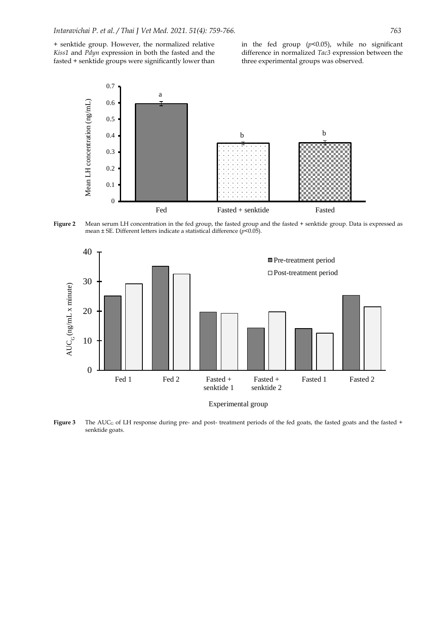+ senktide group. However, the normalized relative *Kiss1* and *Pdyn* expression in both the fasted and the fasted + senktide groups were significantly lower than in the fed group (*p*<0.05), while no significant difference in normalized *Tac3* expression between the three experimental groups was observed.



**Figure 2** Mean serum LH concentration in the fed group, the fasted group and the fasted + senktide group. Data is expressed as mean ± SE. Different letters indicate a statistical difference (*p*<0.05).



Experimental group

**Figure 3** The  $AUC_G$  of LH response during pre- and post- treatment periods of the fed goats, the fasted goats and the fasted  $+$ senktide goats.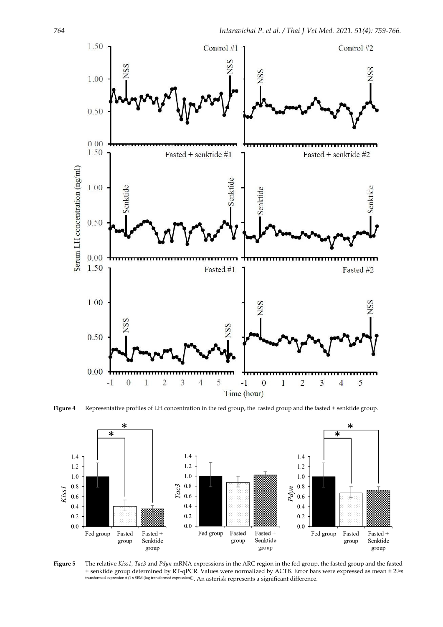

**Figure 4** Representative profiles of LH concentration in the fed group, the fasted group and the fasted + senktide group.



**Figure 5** The relative *Kiss1*, *Tac3* and *Pdyn* mRNA expressions in the ARC region in the fed group, the fasted group and the fasted + senktide group determined by RT-qPCR. Values were normalized by ACTB. Error bars were expressed as mean ± 2[log transformed expression ± (1 x SEM (log transformed expression))]. An asterisk represents a significant difference.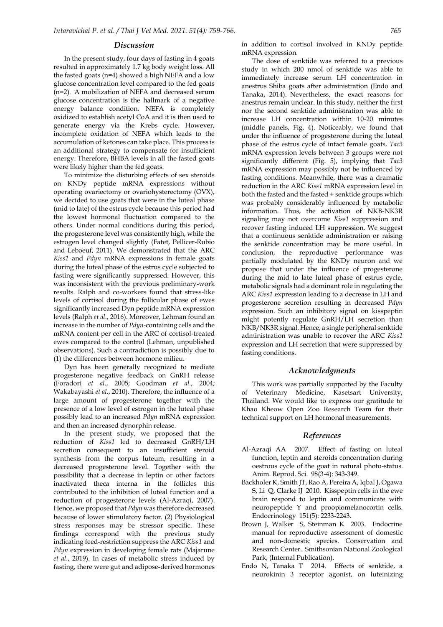#### *Discussion*

In the present study, four days of fasting in 4 goats resulted in approximately 1.7 kg body weight loss. All the fasted goats (n=4) showed a high NEFA and a low glucose concentration level compared to the fed goats (n=2). A mobilization of NEFA and decreased serum glucose concentration is the hallmark of a negative energy balance condition. NEFA is completely oxidized to establish acetyl CoA and it is then used to generate energy via the Krebs cycle. However, incomplete oxidation of NEFA which leads to the accumulation of ketones can take place. This process is an additional strategy to compensate for insufficient energy. Therefore, BHBA levels in all the fasted goats were likely higher than the fed goats.

To minimize the disturbing effects of sex steroids on KNDy peptide mRNA expressions without operating ovariectomy or ovariohysterectomy (OVX), we decided to use goats that were in the luteal phase (mid to late) of the estrus cycle because this period had the lowest hormonal fluctuation compared to the others. Under normal conditions during this period, the progesterone level was consistently high, while the estrogen level changed slightly (Fatet, Pellicer-Rubio and Leboeuf, 2011). We demonstrated that the ARC *Kiss1* and *Pdyn* mRNA expressions in female goats during the luteal phase of the estrus cycle subjected to fasting were significantly suppressed. However, this was inconsistent with the previous preliminary-work results. Ralph and co-workers found that stress-like levels of cortisol during the follicular phase of ewes significantly increased Dyn peptide mRNA expression levels (Ralph *et al.*, 2016). Moreover, Lehman found an increase in the number of *Pdyn*-containing cells and the mRNA content per cell in the ARC of cortisol-treated ewes compared to the control (Lehman, unpublished observations). Such a contradiction is possibly due to (1) the differences between hormone milieu.

Dyn has been generally recognized to mediate progesterone negative feedback on GnRH release (Foradori *et al.*, 2005; Goodman *et al.*, 2004; Wakabayashi *et al.*, 2010). Therefore, the influence of a large amount of progesterone together with the presence of a low level of estrogen in the luteal phase possibly lead to an increased *Pdyn* mRNA expression and then an increased dynorphin release.

In the present study, we proposed that the reduction of *Kiss1* led to decreased GnRH/LH secretion consequent to an insufficient steroid synthesis from the corpus luteum, resulting in a decreased progesterone level. Together with the possibility that a decrease in leptin or other factors inactivated theca interna in the follicles this contributed to the inhibition of luteal function and a reduction of progesterone levels (Al-Azraqi, 2007). Hence, we proposed that *Pdyn* was therefore decreased because of lower stimulatory factor. (2) Physiological stress responses may be stressor specific. These findings correspond with the previous study indicating feed-restriction suppress the ARC *Kiss1* and *Pdyn* expression in developing female rats (Majarune *et al.*, 2019). In cases of metabolic stress induced by fasting, there were gut and adipose-derived hormones in addition to cortisol involved in KNDy peptide mRNA expression.

The dose of senktide was referred to a previous study in which 200 nmol of senktide was able to immediately increase serum LH concentration in anestrus Shiba goats after administration (Endo and Tanaka, 2014). Nevertheless, the exact reasons for anestrus remain unclear. In this study, neither the first nor the second senktide administration was able to increase LH concentration within 10-20 minutes (middle panels, Fig. 4). Noticeably, we found that under the influence of progesterone during the luteal phase of the estrus cycle of intact female goats, *Tac3*  mRNA expression levels between 3 groups were not significantly different (Fig. 5), implying that *Tac3* mRNA expression may possibly not be influenced by fasting conditions. Meanwhile, there was a dramatic reduction in the ARC *Kiss1* mRNA expression level in both the fasted and the fasted + senktide groups which was probably considerably influenced by metabolic information. Thus, the activation of NKB-NK3R signaling may not overcome *Kiss1* suppression and recover fasting induced LH suppression. We suggest that a continuous senktide administration or raising the senktide concentration may be more useful. In conclusion, the reproductive performance was partially modulated by the KNDy neuron and we propose that under the influence of progesterone during the mid to late luteal phase of estrus cycle, metabolic signals had a dominant role in regulating the ARC *Kiss1* expression leading to a decrease in LH and progesterone secretion resulting in decreased *Pdyn*  expression. Such an inhibitory signal on kisspeptin might potently regulate GnRH/LH secretion than NKB/NK3R signal. Hence, a single peripheral senktide administration was unable to recover the ARC *Kiss1* expression and LH secretion that were suppressed by fasting conditions.

#### *Acknowledgments*

This work was partially supported by the Faculty of Veterinary Medicine, Kasetsart University, Thailand. We would like to express our gratitude to Khao Kheow Open Zoo Research Team for their technical support on LH hormonal measurements.

#### *References*

- Al-Azraqi AA 2007. Effect of fasting on luteal function, leptin and steroids concentration during oestrous cycle of the goat in natural photo-status. Anim. Reprod. Sci. 98(3-4): 343-349.
- Backholer K, Smith JT, Rao A, Pereira A, Iqbal J, Ogawa S, Li Q, Clarke IJ 2010. Kisspeptin cells in the ewe brain respond to leptin and communicate with neuropeptide Y and proopiomelanocortin cells. Endocrinology 151(5): 2233-2243.
- Brown J, Walker S, Steinman K 2003. Endocrine manual for reproductive assessment of domestic and non-domestic species. Conservation and Research Center. Smithsonian National Zoological Park, (Internal Publication).
- Endo N, Tanaka T 2014. Effects of senktide, a neurokinin 3 receptor agonist, on luteinizing